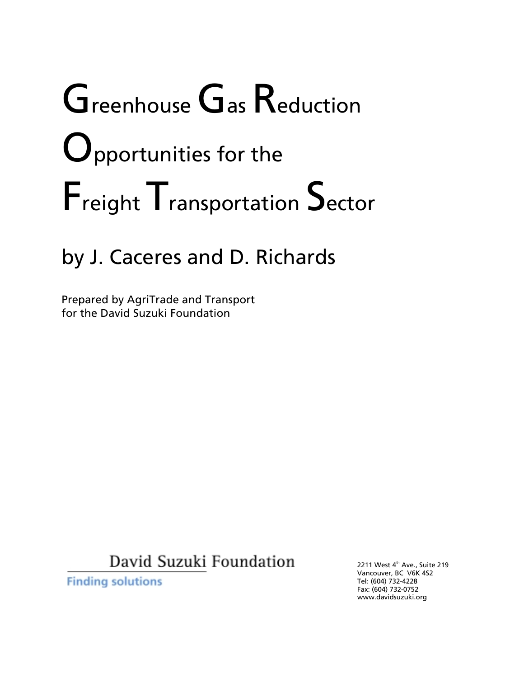# Greenhouse Gas Reduction **O**pportunities for the Freight Transportation Sector

# by J. Caceres and D. Richards

Prepared by AgriTrade and Transport for the David Suzuki Foundation

David Suzuki Foundation

**Finding solutions** 

2211 West 4<sup>th</sup> Ave., Suite 219 Vancouver, BC V6K 4S2 Tel: (604) 732-4228 Fax: (604) 732-0752 www.davidsuzuki.org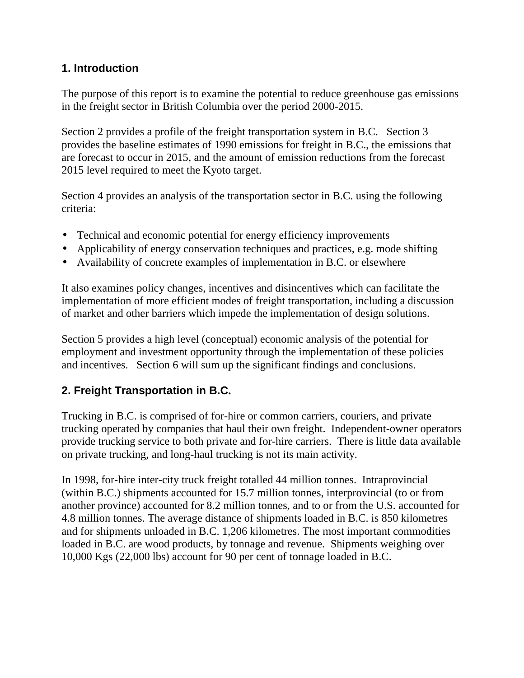# **1. Introduction**

The purpose of this report is to examine the potential to reduce greenhouse gas emissions in the freight sector in British Columbia over the period 2000-2015.

Section 2 provides a profile of the freight transportation system in B.C. Section 3 provides the baseline estimates of 1990 emissions for freight in B.C., the emissions that are forecast to occur in 2015, and the amount of emission reductions from the forecast 2015 level required to meet the Kyoto target.

Section 4 provides an analysis of the transportation sector in B.C. using the following criteria:

- Technical and economic potential for energy efficiency improvements
- Applicability of energy conservation techniques and practices, e.g. mode shifting
- Availability of concrete examples of implementation in B.C. or elsewhere

It also examines policy changes, incentives and disincentives which can facilitate the implementation of more efficient modes of freight transportation, including a discussion of market and other barriers which impede the implementation of design solutions.

Section 5 provides a high level (conceptual) economic analysis of the potential for employment and investment opportunity through the implementation of these policies and incentives. Section 6 will sum up the significant findings and conclusions.

# **2. Freight Transportation in B.C.**

Trucking in B.C. is comprised of for-hire or common carriers, couriers, and private trucking operated by companies that haul their own freight. Independent-owner operators provide trucking service to both private and for-hire carriers. There is little data available on private trucking, and long-haul trucking is not its main activity.

In 1998, for-hire inter-city truck freight totalled 44 million tonnes. Intraprovincial (within B.C.) shipments accounted for 15.7 million tonnes, interprovincial (to or from another province) accounted for 8.2 million tonnes, and to or from the U.S. accounted for 4.8 million tonnes. The average distance of shipments loaded in B.C. is 850 kilometres and for shipments unloaded in B.C. 1,206 kilometres. The most important commodities loaded in B.C. are wood products, by tonnage and revenue. Shipments weighing over 10,000 Kgs (22,000 lbs) account for 90 per cent of tonnage loaded in B.C.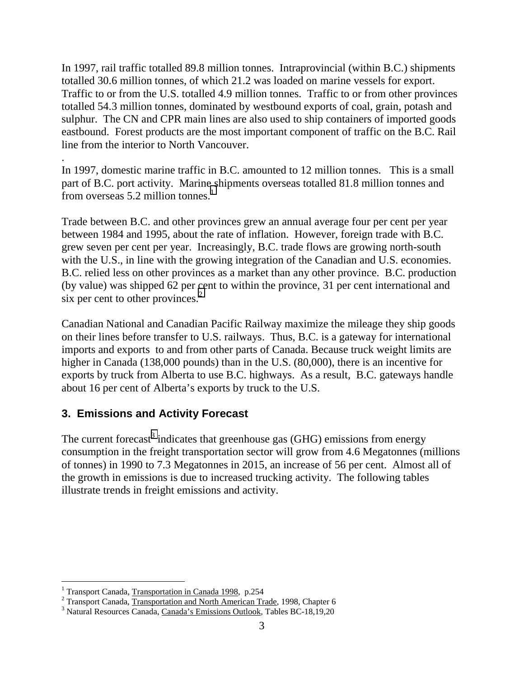In 1997, rail traffic totalled 89.8 million tonnes. Intraprovincial (within B.C.) shipments totalled 30.6 million tonnes, of which 21.2 was loaded on marine vessels for export. Traffic to or from the U.S. totalled 4.9 million tonnes. Traffic to or from other provinces totalled 54.3 million tonnes, dominated by westbound exports of coal, grain, potash and sulphur. The CN and CPR main lines are also used to ship containers of imported goods eastbound. Forest products are the most important component of traffic on the B.C. Rail line from the interior to North Vancouver.

. In 1997, domestic marine traffic in B.C. amounted to 12 million tonnes. This is a small part of B.C. port activity. Marine shipments overseas totalled 81.8 million tonnes and from overseas 5.2 million tonnes.<sup>1</sup>

Trade between B.C. and other provinces grew an annual average four per cent per year between 1984 and 1995, about the rate of inflation. However, foreign trade with B.C. grew seven per cent per year. Increasingly, B.C. trade flows are growing north-south with the U.S., in line with the growing integration of the Canadian and U.S. economies. B.C. relied less on other provinces as a market than any other province. B.C. production (by value) was shipped 62 per cent to within the province, 31 per cent international and six per cent to other provinces. $2^2$ 

Canadian National and Canadian Pacific Railway maximize the mileage they ship goods on their lines before transfer to U.S. railways. Thus, B.C. is a gateway for international imports and exports to and from other parts of Canada. Because truck weight limits are higher in Canada (138,000 pounds) than in the U.S. (80,000), there is an incentive for exports by truck from Alberta to use B.C. highways. As a result, B.C. gateways handle about 16 per cent of Alberta's exports by truck to the U.S.

# **3. Emissions and Activity Forecast**

The current forecast<sup>3</sup> indicates that greenhouse gas (GHG) emissions from energy consumption in the freight transportation sector will grow from 4.6 Megatonnes (millions of tonnes) in 1990 to 7.3 Megatonnes in 2015, an increase of 56 per cent. Almost all of the growth in emissions is due to increased trucking activity. The following tables illustrate trends in freight emissions and activity.

 1 Transport Canada, Transportation in Canada 1998, p.254

<sup>&</sup>lt;sup>2</sup> Transport Canada, Transportation and North American Trade, 1998, Chapter 6<br><sup>3</sup> Natural Resources Canada, <u>Canada's Emissions Outlook</u>, Tables BC-18,19,20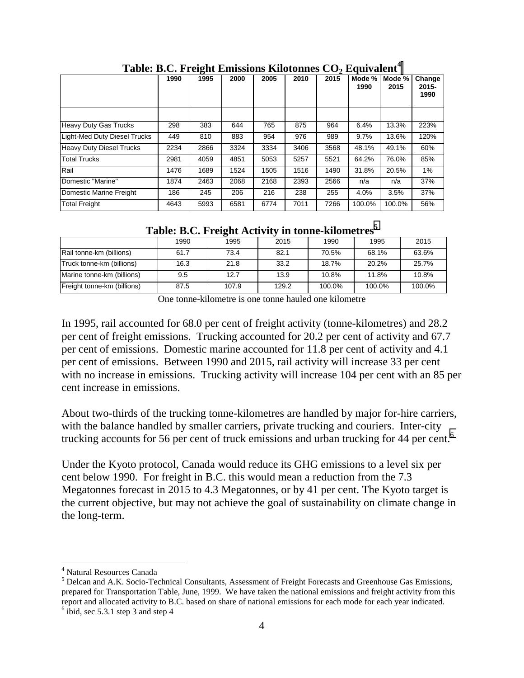|                                 |      | $\mathbf{\sigma}$ |      |      |      |      |                |                |                            |
|---------------------------------|------|-------------------|------|------|------|------|----------------|----------------|----------------------------|
|                                 | 1990 | 1995              | 2000 | 2005 | 2010 | 2015 | Mode %<br>1990 | Mode %<br>2015 | Change<br>$2015 -$<br>1990 |
|                                 |      |                   |      |      |      |      |                |                |                            |
| <b>Heavy Duty Gas Trucks</b>    | 298  | 383               | 644  | 765  | 875  | 964  | 6.4%           | 13.3%          | 223%                       |
| Light-Med Duty Diesel Trucks    | 449  | 810               | 883  | 954  | 976  | 989  | 9.7%           | 13.6%          | 120%                       |
| <b>Heavy Duty Diesel Trucks</b> | 2234 | 2866              | 3324 | 3334 | 3406 | 3568 | 48.1%          | 49.1%          | 60%                        |
| <b>Total Trucks</b>             | 2981 | 4059              | 4851 | 5053 | 5257 | 5521 | 64.2%          | 76.0%          | 85%                        |
| Rail                            | 1476 | 1689              | 1524 | 1505 | 1516 | 1490 | 31.8%          | 20.5%          | 1%                         |
| Domestic "Marine"               | 1874 | 2463              | 2068 | 2168 | 2393 | 2566 | n/a            | n/a            | 37%                        |
| Domestic Marine Freight         | 186  | 245               | 206  | 216  | 238  | 255  | 4.0%           | 3.5%           | 37%                        |
| <b>Total Freight</b>            | 4643 | 5993              | 6581 | 6774 | 7011 | 7266 | 100.0%         | 100.0%         | 56%                        |

Table: B.C. Freight Emissions Kilotonnes CO<sub>2</sub> Equivalent<sup>4</sup>

**Table: B.C. Freight Activity in tonne-kilometres<sup>5</sup>**

|                             | 1990 | 1995  | 2015  | 1990   | 1995   | 2015   |  |
|-----------------------------|------|-------|-------|--------|--------|--------|--|
| Rail tonne-km (billions)    | 61.7 | 73.4  | 82.1  | 70.5%  | 68.1%  | 63.6%  |  |
| Truck tonne-km (billions)   | 16.3 | 21.8  | 33.2  | 18.7%  | 20.2%  | 25.7%  |  |
| Marine tonne-km (billions)  | 9.5  | 12.7  | 13.9  | 10.8%  | 11.8%  | 10.8%  |  |
| Freight tonne-km (billions) | 87.5 | 107.9 | 129.2 | 100.0% | 100.0% | 100.0% |  |

One tonne-kilometre is one tonne hauled one kilometre

In 1995, rail accounted for 68.0 per cent of freight activity (tonne-kilometres) and 28.2 per cent of freight emissions. Trucking accounted for 20.2 per cent of activity and 67.7 per cent of emissions. Domestic marine accounted for 11.8 per cent of activity and 4.1 per cent of emissions. Between 1990 and 2015, rail activity will increase 33 per cent with no increase in emissions. Trucking activity will increase 104 per cent with an 85 per cent increase in emissions.

About two-thirds of the trucking tonne-kilometres are handled by major for-hire carriers, with the balance handled by smaller carriers, private trucking and couriers. Inter-city trucking accounts for 56 per cent of truck emissions and urban trucking for 44 per cent.<sup>6</sup>

Under the Kyoto protocol, Canada would reduce its GHG emissions to a level six per cent below 1990. For freight in B.C. this would mean a reduction from the 7.3 Megatonnes forecast in 2015 to 4.3 Megatonnes, or by 41 per cent. The Kyoto target is the current objective, but may not achieve the goal of sustainability on climate change in the long-term.

<sup>4</sup> Natural Resources Canada

<sup>&</sup>lt;sup>5</sup> Delcan and A.K. Socio-Technical Consultants, Assessment of Freight Forecasts and Greenhouse Gas Emissions, prepared for Transportation Table, June, 1999. We have taken the national emissions and freight activity from this report and allocated activity to B.C. based on share of national emissions for each mode for each year indicated.  $6$  ibid, sec 5.3.1 step 3 and step 4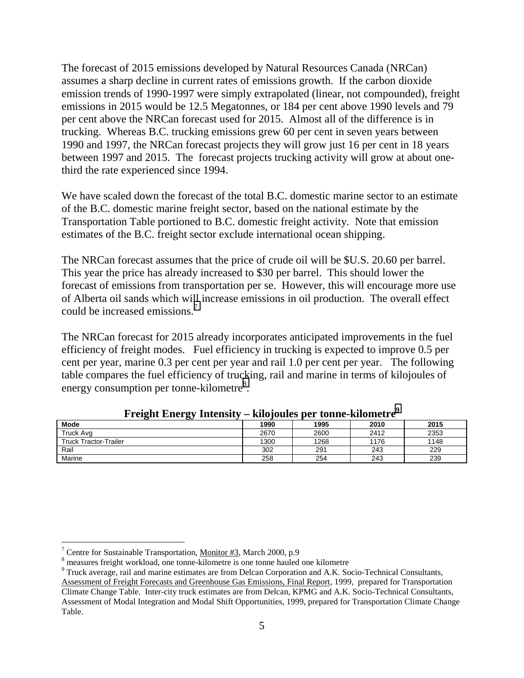The forecast of 2015 emissions developed by Natural Resources Canada (NRCan) assumes a sharp decline in current rates of emissions growth. If the carbon dioxide emission trends of 1990-1997 were simply extrapolated (linear, not compounded), freight emissions in 2015 would be 12.5 Megatonnes, or 184 per cent above 1990 levels and 79 per cent above the NRCan forecast used for 2015. Almost all of the difference is in trucking. Whereas B.C. trucking emissions grew 60 per cent in seven years between 1990 and 1997, the NRCan forecast projects they will grow just 16 per cent in 18 years between 1997 and 2015. The forecast projects trucking activity will grow at about onethird the rate experienced since 1994.

We have scaled down the forecast of the total B.C. domestic marine sector to an estimate of the B.C. domestic marine freight sector, based on the national estimate by the Transportation Table portioned to B.C. domestic freight activity. Note that emission estimates of the B.C. freight sector exclude international ocean shipping.

The NRCan forecast assumes that the price of crude oil will be \$U.S. 20.60 per barrel. This year the price has already increased to \$30 per barrel. This should lower the forecast of emissions from transportation per se. However, this will encourage more use of Alberta oil sands which will increase emissions in oil production. The overall effect could be increased emissions.<sup>7</sup>

The NRCan forecast for 2015 already incorporates anticipated improvements in the fuel efficiency of freight modes. Fuel efficiency in trucking is expected to improve 0.5 per cent per year, marine 0.3 per cent per year and rail 1.0 per cent per year. The following table compares the fuel efficiency of trucking, rail and marine in terms of kilojoules of energy consumption per tonne-kilometre<sup>8</sup>.

| ິ<br>Ö                       |      |      |      |      |
|------------------------------|------|------|------|------|
| <b>Mode</b>                  | 1990 | 1995 | 2010 | 2015 |
| Truck Avg                    | 2670 | 2600 | 2412 | 2353 |
| <b>Truck Tractor-Trailer</b> | 1300 | 1268 | 1176 | 1148 |
| Rail                         | 302  | 291  | 243  | 229  |
| Marine                       | 258  | 254  | 243  | 239  |

**Freight Energy Intensity – kilojoules per tonne-kilometre<sup>9</sup>**

<sup>&</sup>lt;sup>7</sup> Centre for Sustainable Transportation, Monitor #3, March 2000, p.9

<sup>&</sup>lt;sup>8</sup> measures freight workload, one tonne-kilometre is one tonne hauled one kilometre

<sup>&</sup>lt;sup>9</sup> Truck average, rail and marine estimates are from Delcan Corporation and A.K. Socio-Technical Consultants, Assessment of Freight Forecasts and Greenhouse Gas Emissions, Final Report, 1999, prepared for Transportation Climate Change Table. Inter-city truck estimates are from Delcan, KPMG and A.K. Socio-Technical Consultants, Assessment of Modal Integration and Modal Shift Opportunities, 1999, prepared for Transportation Climate Change Table.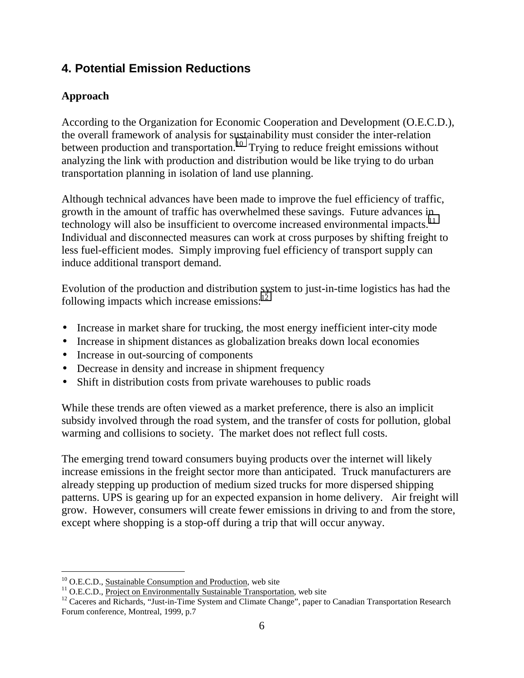# **4. Potential Emission Reductions**

# **Approach**

According to the Organization for Economic Cooperation and Development (O.E.C.D.), the overall framework of analysis for sustainability must consider the inter-relation between production and transportation.<sup>10</sup> Trying to reduce freight emissions without analyzing the link with production and distribution would be like trying to do urban transportation planning in isolation of land use planning.

Although technical advances have been made to improve the fuel efficiency of traffic, growth in the amount of traffic has overwhelmed these savings. Future advances in technology will also be insufficient to overcome increased environmental impacts.<sup>11</sup> Individual and disconnected measures can work at cross purposes by shifting freight to less fuel-efficient modes. Simply improving fuel efficiency of transport supply can induce additional transport demand.

Evolution of the production and distribution system to just-in-time logistics has had the following impacts which increase emissions: $^{12}$ 

- Increase in market share for trucking, the most energy inefficient inter-city mode
- Increase in shipment distances as globalization breaks down local economies
- Increase in out-sourcing of components
- Decrease in density and increase in shipment frequency
- Shift in distribution costs from private warehouses to public roads

While these trends are often viewed as a market preference, there is also an implicit subsidy involved through the road system, and the transfer of costs for pollution, global warming and collisions to society. The market does not reflect full costs.

The emerging trend toward consumers buying products over the internet will likely increase emissions in the freight sector more than anticipated. Truck manufacturers are already stepping up production of medium sized trucks for more dispersed shipping patterns. UPS is gearing up for an expected expansion in home delivery. Air freight will grow. However, consumers will create fewer emissions in driving to and from the store, except where shopping is a stop-off during a trip that will occur anyway.

 $\overline{a}$  $10$  O.E.C.D., Sustainable Consumption and Production, web site

<sup>&</sup>lt;sup>11</sup> O.E.C.D., Project on Environmentally Sustainable Transportation, web site

<sup>&</sup>lt;sup>12</sup> Caceres and Richards, "Just-in-Time System and Climate Change", paper to Canadian Transportation Research Forum conference, Montreal, 1999, p.7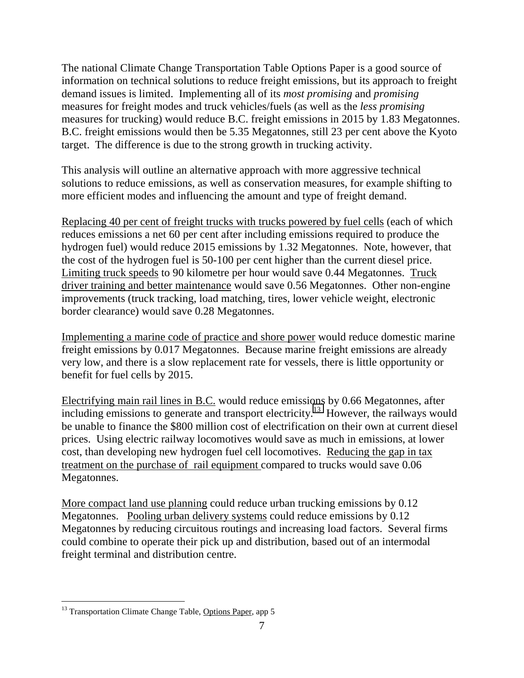The national Climate Change Transportation Table Options Paper is a good source of information on technical solutions to reduce freight emissions, but its approach to freight demand issues is limited. Implementing all of its *most promising* and *promising* measures for freight modes and truck vehicles/fuels (as well as the *less promising* measures for trucking) would reduce B.C. freight emissions in 2015 by 1.83 Megatonnes. B.C. freight emissions would then be 5.35 Megatonnes, still 23 per cent above the Kyoto target. The difference is due to the strong growth in trucking activity.

This analysis will outline an alternative approach with more aggressive technical solutions to reduce emissions, as well as conservation measures, for example shifting to more efficient modes and influencing the amount and type of freight demand.

Replacing 40 per cent of freight trucks with trucks powered by fuel cells (each of which reduces emissions a net 60 per cent after including emissions required to produce the hydrogen fuel) would reduce 2015 emissions by 1.32 Megatonnes. Note, however, that the cost of the hydrogen fuel is 50-100 per cent higher than the current diesel price. Limiting truck speeds to 90 kilometre per hour would save 0.44 Megatonnes. Truck driver training and better maintenance would save 0.56 Megatonnes. Other non-engine improvements (truck tracking, load matching, tires, lower vehicle weight, electronic border clearance) would save 0.28 Megatonnes.

Implementing a marine code of practice and shore power would reduce domestic marine freight emissions by 0.017 Megatonnes. Because marine freight emissions are already very low, and there is a slow replacement rate for vessels, there is little opportunity or benefit for fuel cells by 2015.

Electrifying main rail lines in B.C. would reduce emissions by 0.66 Megatonnes, after including emissions to generate and transport electricity.<sup>13</sup> However, the railways would be unable to finance the \$800 million cost of electrification on their own at current diesel prices. Using electric railway locomotives would save as much in emissions, at lower cost, than developing new hydrogen fuel cell locomotives. Reducing the gap in tax treatment on the purchase of rail equipment compared to trucks would save 0.06 Megatonnes.

More compact land use planning could reduce urban trucking emissions by 0.12 Megatonnes. Pooling urban delivery systems could reduce emissions by 0.12 Megatonnes by reducing circuitous routings and increasing load factors. Several firms could combine to operate their pick up and distribution, based out of an intermodal freight terminal and distribution centre.

<sup>&</sup>lt;sup>13</sup> Transportation Climate Change Table, Options Paper, app 5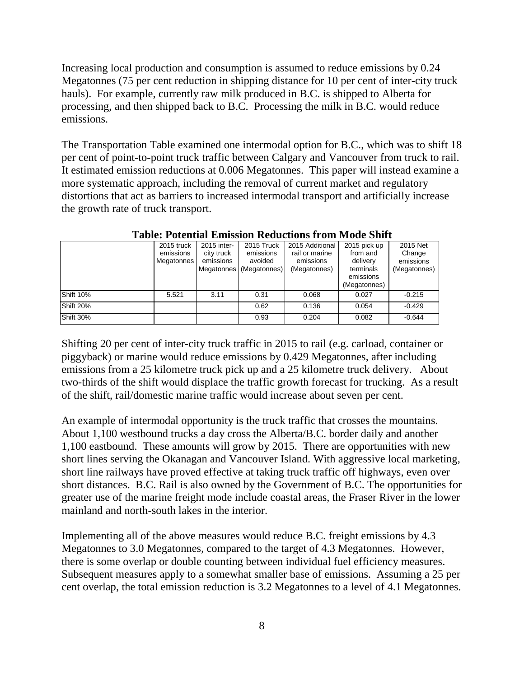Increasing local production and consumption is assumed to reduce emissions by 0.24 Megatonnes (75 per cent reduction in shipping distance for 10 per cent of inter-city truck hauls). For example, currently raw milk produced in B.C. is shipped to Alberta for processing, and then shipped back to B.C. Processing the milk in B.C. would reduce emissions.

The Transportation Table examined one intermodal option for B.C., which was to shift 18 per cent of point-to-point truck traffic between Calgary and Vancouver from truck to rail. It estimated emission reductions at 0.006 Megatonnes. This paper will instead examine a more systematic approach, including the removal of current market and regulatory distortions that act as barriers to increased intermodal transport and artificially increase the growth rate of truck transport.

|                  | 2015 truck<br>emissions<br>Megatonnes | 2015 inter-<br>city truck<br>emissions | 2015 Truck<br>emissions<br>avoided<br>Megatonnes (Megatonnes) | 2015 Additional<br>rail or marine<br>emissions<br>(Megatonnes) | 2015 pick up<br>from and<br>delivery<br>terminals<br>emissions<br>(Megatonnes) | 2015 Net<br>Change<br>emissions<br>(Megatonnes) |
|------------------|---------------------------------------|----------------------------------------|---------------------------------------------------------------|----------------------------------------------------------------|--------------------------------------------------------------------------------|-------------------------------------------------|
| <b>Shift 10%</b> | 5.521                                 | 3.11                                   | 0.31                                                          | 0.068                                                          | 0.027                                                                          | $-0.215$                                        |
| <b>Shift 20%</b> |                                       |                                        | 0.62                                                          | 0.136                                                          | 0.054                                                                          | $-0.429$                                        |
| <b>Shift 30%</b> |                                       |                                        | 0.93                                                          | 0.204                                                          | 0.082                                                                          | $-0.644$                                        |

**Table: Potential Emission Reductions from Mode Shift**

Shifting 20 per cent of inter-city truck traffic in 2015 to rail (e.g. carload, container or piggyback) or marine would reduce emissions by 0.429 Megatonnes, after including emissions from a 25 kilometre truck pick up and a 25 kilometre truck delivery. About two-thirds of the shift would displace the traffic growth forecast for trucking. As a result of the shift, rail/domestic marine traffic would increase about seven per cent.

An example of intermodal opportunity is the truck traffic that crosses the mountains. About 1,100 westbound trucks a day cross the Alberta/B.C. border daily and another 1,100 eastbound. These amounts will grow by 2015. There are opportunities with new short lines serving the Okanagan and Vancouver Island. With aggressive local marketing, short line railways have proved effective at taking truck traffic off highways, even over short distances. B.C. Rail is also owned by the Government of B.C. The opportunities for greater use of the marine freight mode include coastal areas, the Fraser River in the lower mainland and north-south lakes in the interior.

Implementing all of the above measures would reduce B.C. freight emissions by 4.3 Megatonnes to 3.0 Megatonnes, compared to the target of 4.3 Megatonnes. However, there is some overlap or double counting between individual fuel efficiency measures. Subsequent measures apply to a somewhat smaller base of emissions. Assuming a 25 per cent overlap, the total emission reduction is 3.2 Megatonnes to a level of 4.1 Megatonnes.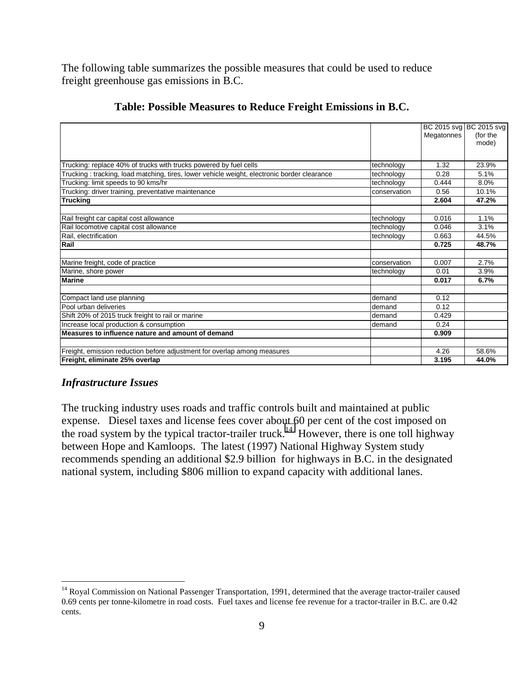The following table summarizes the possible measures that could be used to reduce freight greenhouse gas emissions in B.C.

|                                                                                             |              | Megatonnes | BC 2015 svg BC 2015 svg<br>(for the<br>mode) |
|---------------------------------------------------------------------------------------------|--------------|------------|----------------------------------------------|
| Trucking: replace 40% of trucks with trucks powered by fuel cells                           | technology   | 1.32       | 23.9%                                        |
| Trucking: tracking, load matching, tires, lower vehicle weight, electronic border clearance | technology   | 0.28       | 5.1%                                         |
| Trucking: limit speeds to 90 kms/hr                                                         | technology   | 0.444      | 8.0%                                         |
| Trucking: driver training, preventative maintenance                                         | conservation | 0.56       | 10.1%                                        |
| <b>Trucking</b>                                                                             |              | 2.604      | 47.2%                                        |
|                                                                                             |              |            |                                              |
| Rail freight car capital cost allowance                                                     | technology   | 0.016      | 1.1%                                         |
| Rail locomotive capital cost allowance                                                      | technology   | 0.046      | 3.1%                                         |
| Rail, electrification                                                                       | technology   | 0.663      | 44.5%                                        |
| Rail                                                                                        |              | 0.725      | 48.7%                                        |
|                                                                                             |              |            |                                              |
| Marine freight, code of practice                                                            | conservation | 0.007      | 2.7%                                         |
| Marine, shore power                                                                         | technology   | 0.01       | 3.9%                                         |
| <b>Marine</b>                                                                               |              | 0.017      | 6.7%                                         |
| Compact land use planning                                                                   | demand       | 0.12       |                                              |
| Pool urban deliveries                                                                       | demand       | 0.12       |                                              |
| Shift 20% of 2015 truck freight to rail or marine                                           | demand       | 0.429      |                                              |
| Increase local production & consumption                                                     | demand       | 0.24       |                                              |
| Measures to influence nature and amount of demand                                           |              | 0.909      |                                              |
|                                                                                             |              |            |                                              |
| Freight, emission reduction before adjustment for overlap among measures                    |              | 4.26       | 58.6%                                        |
| Freight, eliminate 25% overlap                                                              |              | 3.195      | 44.0%                                        |

#### **Table: Possible Measures to Reduce Freight Emissions in B.C.**

#### *Infrastructure Issues*

The trucking industry uses roads and traffic controls built and maintained at public expense. Diesel taxes and license fees cover about 60 per cent of the cost imposed on the road system by the typical tractor-trailer truck.<sup>14</sup> However, there is one toll highway between Hope and Kamloops. The latest (1997) National Highway System study recommends spending an additional \$2.9 billion for highways in B.C. in the designated national system, including \$806 million to expand capacity with additional lanes.

<sup>&</sup>lt;sup>14</sup> Royal Commission on National Passenger Transportation, 1991, determined that the average tractor-trailer caused 0.69 cents per tonne-kilometre in road costs. Fuel taxes and license fee revenue for a tractor-trailer in B.C. are 0.42 cents.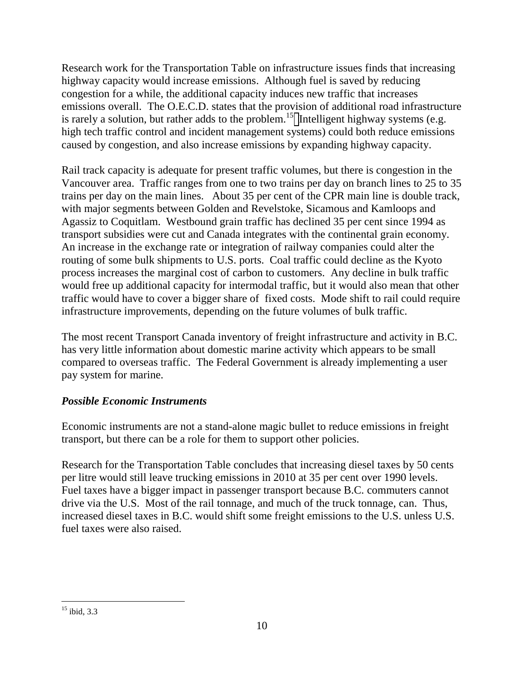Research work for the Transportation Table on infrastructure issues finds that increasing highway capacity would increase emissions. Although fuel is saved by reducing congestion for a while, the additional capacity induces new traffic that increases emissions overall. The O.E.C.D. states that the provision of additional road infrastructure is rarely a solution, but rather adds to the problem.<sup>15</sup> Intelligent highway systems (e.g. high tech traffic control and incident management systems) could both reduce emissions caused by congestion, and also increase emissions by expanding highway capacity.

Rail track capacity is adequate for present traffic volumes, but there is congestion in the Vancouver area. Traffic ranges from one to two trains per day on branch lines to 25 to 35 trains per day on the main lines. About 35 per cent of the CPR main line is double track, with major segments between Golden and Revelstoke, Sicamous and Kamloops and Agassiz to Coquitlam. Westbound grain traffic has declined 35 per cent since 1994 as transport subsidies were cut and Canada integrates with the continental grain economy. An increase in the exchange rate or integration of railway companies could alter the routing of some bulk shipments to U.S. ports. Coal traffic could decline as the Kyoto process increases the marginal cost of carbon to customers. Any decline in bulk traffic would free up additional capacity for intermodal traffic, but it would also mean that other traffic would have to cover a bigger share of fixed costs. Mode shift to rail could require infrastructure improvements, depending on the future volumes of bulk traffic.

The most recent Transport Canada inventory of freight infrastructure and activity in B.C. has very little information about domestic marine activity which appears to be small compared to overseas traffic. The Federal Government is already implementing a user pay system for marine.

# *Possible Economic Instruments*

Economic instruments are not a stand-alone magic bullet to reduce emissions in freight transport, but there can be a role for them to support other policies.

Research for the Transportation Table concludes that increasing diesel taxes by 50 cents per litre would still leave trucking emissions in 2010 at 35 per cent over 1990 levels. Fuel taxes have a bigger impact in passenger transport because B.C. commuters cannot drive via the U.S. Most of the rail tonnage, and much of the truck tonnage, can. Thus, increased diesel taxes in B.C. would shift some freight emissions to the U.S. unless U.S. fuel taxes were also raised.

<sup>-</sup> $15$  ibid, 3.3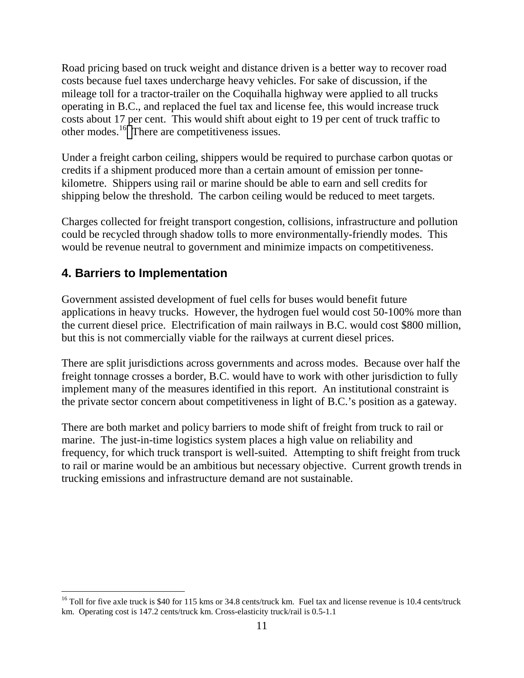Road pricing based on truck weight and distance driven is a better way to recover road costs because fuel taxes undercharge heavy vehicles. For sake of discussion, if the mileage toll for a tractor-trailer on the Coquihalla highway were applied to all trucks operating in B.C., and replaced the fuel tax and license fee, this would increase truck costs about 17 per cent. This would shift about eight to 19 per cent of truck traffic to other modes.<sup>16</sup> There are competitiveness issues.

Under a freight carbon ceiling, shippers would be required to purchase carbon quotas or credits if a shipment produced more than a certain amount of emission per tonnekilometre. Shippers using rail or marine should be able to earn and sell credits for shipping below the threshold. The carbon ceiling would be reduced to meet targets.

Charges collected for freight transport congestion, collisions, infrastructure and pollution could be recycled through shadow tolls to more environmentally-friendly modes. This would be revenue neutral to government and minimize impacts on competitiveness.

# **4. Barriers to Implementation**

 $\overline{a}$ 

Government assisted development of fuel cells for buses would benefit future applications in heavy trucks. However, the hydrogen fuel would cost 50-100% more than the current diesel price. Electrification of main railways in B.C. would cost \$800 million, but this is not commercially viable for the railways at current diesel prices.

There are split jurisdictions across governments and across modes. Because over half the freight tonnage crosses a border, B.C. would have to work with other jurisdiction to fully implement many of the measures identified in this report. An institutional constraint is the private sector concern about competitiveness in light of B.C.'s position as a gateway.

There are both market and policy barriers to mode shift of freight from truck to rail or marine. The just-in-time logistics system places a high value on reliability and frequency, for which truck transport is well-suited. Attempting to shift freight from truck to rail or marine would be an ambitious but necessary objective. Current growth trends in trucking emissions and infrastructure demand are not sustainable.

 $16$  Toll for five axle truck is \$40 for 115 kms or 34.8 cents/truck km. Fuel tax and license revenue is 10.4 cents/truck km. Operating cost is 147.2 cents/truck km. Cross-elasticity truck/rail is 0.5-1.1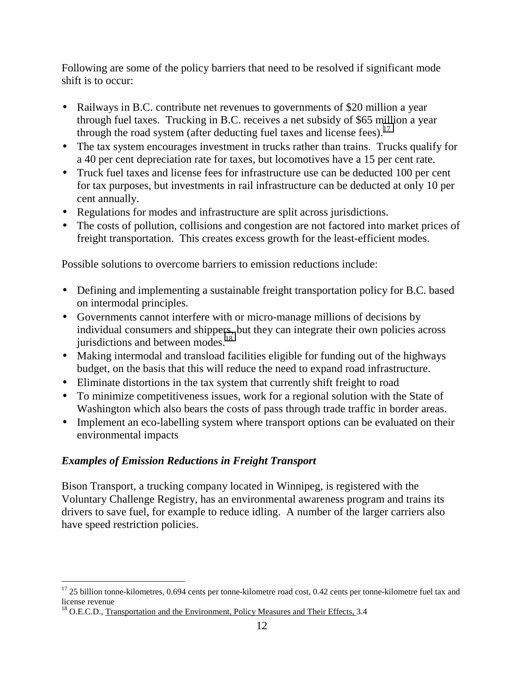Following are some of the policy barriers that need to be resolved if significant mode shift is to occur:

- Railways in B.C. contribute net revenues to governments of \$20 million a year through fuel taxes. Trucking in B.C. receives a net subsidy of \$65 million a year through the road system (after deducting fuel taxes and license fees). $17$
- The tax system encourages investment in trucks rather than trains. Trucks qualify for a 40 per cent depreciation rate for taxes, but locomotives have a 15 per cent rate.
- Truck fuel taxes and license fees for infrastructure use can be deducted 100 per cent for tax purposes, but investments in rail infrastructure can be deducted at only 10 per cent annually.
- Regulations for modes and infrastructure are split across jurisdictions.
- The costs of pollution, collisions and congestion are not factored into market prices of freight transportation. This creates excess growth for the least-efficient modes.

Possible solutions to overcome barriers to emission reductions include:

- Defining and implementing a sustainable freight transportation policy for B.C. based on intermodal principles.
- Governments cannot interfere with or micro-manage millions of decisions by individual consumers and shippers, but they can integrate their own policies across jurisdictions and between modes.<sup>18</sup>
- Making intermodal and transload facilities eligible for funding out of the highways budget, on the basis that this will reduce the need to expand road infrastructure.
- Eliminate distortions in the tax system that currently shift freight to road
- To minimize competitiveness issues, work for a regional solution with the State of Washington which also bears the costs of pass through trade traffic in border areas.
- Implement an eco-labelling system where transport options can be evaluated on their environmental impacts

#### *Examples of Emission Reductions in Freight Transport*

Bison Transport, a trucking company located in Winnipeg, is registered with the Voluntary Challenge Registry, has an environmental awareness program and trains its drivers to save fuel, for example to reduce idling. A number of the larger carriers also have speed restriction policies.

  $17$  25 billion tonne-kilometres, 0.694 cents per tonne-kilometre road cost, 0.42 cents per tonne-kilometre fuel tax and license revenue

 $18$  O.E.C.D., Transportation and the Environment, Policy Measures and Their Effects, 3.4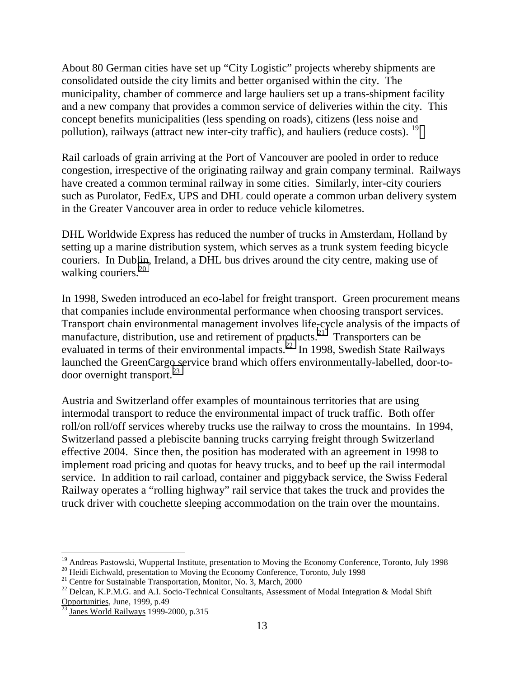About 80 German cities have set up "City Logistic" projects whereby shipments are consolidated outside the city limits and better organised within the city. The municipality, chamber of commerce and large hauliers set up a trans-shipment facility and a new company that provides a common service of deliveries within the city. This concept benefits municipalities (less spending on roads), citizens (less noise and pollution), railways (attract new inter-city traffic), and hauliers (reduce costs). <sup>19</sup>

Rail carloads of grain arriving at the Port of Vancouver are pooled in order to reduce congestion, irrespective of the originating railway and grain company terminal. Railways have created a common terminal railway in some cities. Similarly, inter-city couriers such as Purolator, FedEx, UPS and DHL could operate a common urban delivery system in the Greater Vancouver area in order to reduce vehicle kilometres.

DHL Worldwide Express has reduced the number of trucks in Amsterdam, Holland by setting up a marine distribution system, which serves as a trunk system feeding bicycle couriers. In Dublin, Ireland, a DHL bus drives around the city centre, making use of walking couriers. $20$ 

In 1998, Sweden introduced an eco-label for freight transport. Green procurement means that companies include environmental performance when choosing transport services. Transport chain environmental management involves life-cycle analysis of the impacts of manufacture, distribution, use and retirement of products.<sup>21</sup> Transporters can be evaluated in terms of their environmental impacts.<sup>22</sup> In 1998, Swedish State Railways launched the GreenCargo service brand which offers environmentally-labelled, door-todoor overnight transport. $^{23}$ 

Austria and Switzerland offer examples of mountainous territories that are using intermodal transport to reduce the environmental impact of truck traffic. Both offer roll/on roll/off services whereby trucks use the railway to cross the mountains. In 1994, Switzerland passed a plebiscite banning trucks carrying freight through Switzerland effective 2004. Since then, the position has moderated with an agreement in 1998 to implement road pricing and quotas for heavy trucks, and to beef up the rail intermodal service. In addition to rail carload, container and piggyback service, the Swiss Federal Railway operates a "rolling highway" rail service that takes the truck and provides the truck driver with couchette sleeping accommodation on the train over the mountains.

<sup>&</sup>lt;sup>19</sup> Andreas Pastowski, Wuppertal Institute, presentation to Moving the Economy Conference, Toronto, July 1998

<sup>&</sup>lt;sup>20</sup> Heidi Eichwald, presentation to Moving the Economy Conference, Toronto, July 1998

<sup>&</sup>lt;sup>21</sup> Centre for Sustainable Transportation, Monitor, No. 3, March, 2000

 $^{22}$  Delcan, K.P.M.G. and A.I. Socio-Technical Consultants, Assessment of Modal Integration & Modal Shift Opportunities, June, 1999, p.49

<sup>23</sup> Janes World Railways 1999-2000, p.315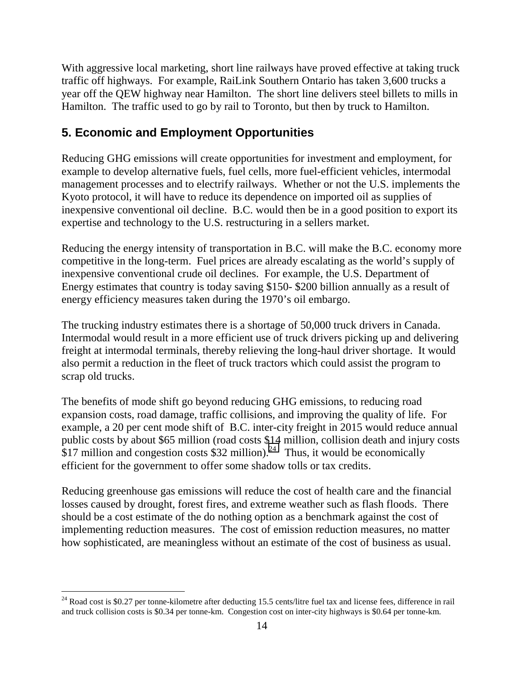With aggressive local marketing, short line railways have proved effective at taking truck traffic off highways. For example, RaiLink Southern Ontario has taken 3,600 trucks a year off the QEW highway near Hamilton. The short line delivers steel billets to mills in Hamilton. The traffic used to go by rail to Toronto, but then by truck to Hamilton.

# **5. Economic and Employment Opportunities**

Reducing GHG emissions will create opportunities for investment and employment, for example to develop alternative fuels, fuel cells, more fuel-efficient vehicles, intermodal management processes and to electrify railways. Whether or not the U.S. implements the Kyoto protocol, it will have to reduce its dependence on imported oil as supplies of inexpensive conventional oil decline. B.C. would then be in a good position to export its expertise and technology to the U.S. restructuring in a sellers market.

Reducing the energy intensity of transportation in B.C. will make the B.C. economy more competitive in the long-term. Fuel prices are already escalating as the world's supply of inexpensive conventional crude oil declines. For example, the U.S. Department of Energy estimates that country is today saving \$150- \$200 billion annually as a result of energy efficiency measures taken during the 1970's oil embargo.

The trucking industry estimates there is a shortage of 50,000 truck drivers in Canada. Intermodal would result in a more efficient use of truck drivers picking up and delivering freight at intermodal terminals, thereby relieving the long-haul driver shortage. It would also permit a reduction in the fleet of truck tractors which could assist the program to scrap old trucks.

The benefits of mode shift go beyond reducing GHG emissions, to reducing road expansion costs, road damage, traffic collisions, and improving the quality of life. For example, a 20 per cent mode shift of B.C. inter-city freight in 2015 would reduce annual public costs by about \$65 million (road costs \$14 million, collision death and injury costs  $$17$  million and congestion costs \$32 million).<sup>24</sup> Thus, it would be economically efficient for the government to offer some shadow tolls or tax credits.

Reducing greenhouse gas emissions will reduce the cost of health care and the financial losses caused by drought, forest fires, and extreme weather such as flash floods. There should be a cost estimate of the do nothing option as a benchmark against the cost of implementing reduction measures. The cost of emission reduction measures, no matter how sophisticated, are meaningless without an estimate of the cost of business as usual.

 $24$  Road cost is \$0.27 per tonne-kilometre after deducting 15.5 cents/litre fuel tax and license fees, difference in rail and truck collision costs is \$0.34 per tonne-km. Congestion cost on inter-city highways is \$0.64 per tonne-km.